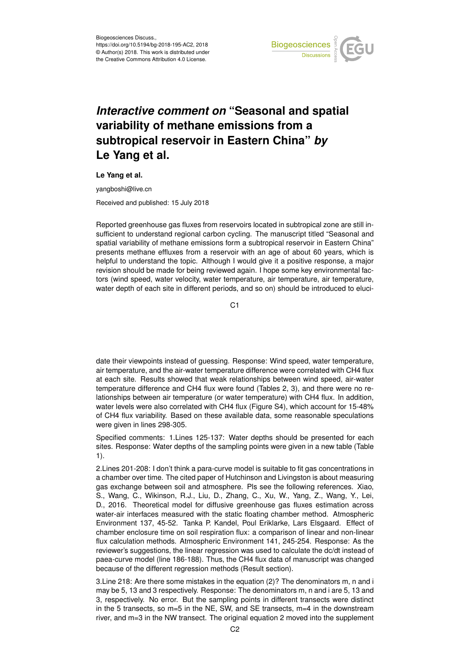

## *Interactive comment on* **"Seasonal and spatial variability of methane emissions from a subtropical reservoir in Eastern China"** *by* **Le Yang et al.**

**Le Yang et al.**

yangboshi@live.cn

Received and published: 15 July 2018

Reported greenhouse gas fluxes from reservoirs located in subtropical zone are still insufficient to understand regional carbon cycling. The manuscript titled "Seasonal and spatial variability of methane emissions form a subtropical reservoir in Eastern China" presents methane effluxes from a reservoir with an age of about 60 years, which is helpful to understand the topic. Although I would give it a positive response, a major revision should be made for being reviewed again. I hope some key environmental factors (wind speed, water velocity, water temperature, air temperature, air temperature, water depth of each site in different periods, and so on) should be introduced to eluci-

C<sub>1</sub>

date their viewpoints instead of guessing. Response: Wind speed, water temperature, air temperature, and the air-water temperature difference were correlated with CH4 flux at each site. Results showed that weak relationships between wind speed, air-water temperature difference and CH4 flux were found (Tables 2, 3), and there were no relationships between air temperature (or water temperature) with CH4 flux. In addition, water levels were also correlated with CH4 flux (Figure S4), which account for 15-48% of CH4 flux variability. Based on these available data, some reasonable speculations were given in lines 298-305.

Specified comments: 1.Lines 125-137: Water depths should be presented for each sites. Response: Water depths of the sampling points were given in a new table (Table 1).

2.Lines 201-208: I don't think a para-curve model is suitable to fit gas concentrations in a chamber over time. The cited paper of Hutchinson and Livingston is about measuring gas exchange between soil and atmosphere. Pls see the following references. Xiao, S., Wang, C., Wikinson, R.J., Liu, D., Zhang, C., Xu, W., Yang, Z., Wang, Y., Lei, D., 2016. Theoretical model for diffusive greenhouse gas fluxes estimation across water-air interfaces measured with the static floating chamber method. Atmospheric Environment 137, 45-52. Tanka P. Kandel, Poul Eriklarke, Lars Elsgaard. Effect of chamber enclosure time on soil respiration flux: a comparison of linear and non-linear flux calculation methods. Atmospheric Environment 141, 245-254. Response: As the reviewer's suggestions, the linear regression was used to calculate the dc/dt instead of paea-curve model (line 186-188). Thus, the CH4 flux data of manuscript was changed because of the different regression methods (Result section).

3.Line 218: Are there some mistakes in the equation (2)? The denominators m, n and i may be 5, 13 and 3 respectively. Response: The denominators m, n and i are 5, 13 and 3, respectively. No error. But the sampling points in different transects were distinct in the 5 transects, so m=5 in the NE, SW, and SE transects, m=4 in the downstream river, and m=3 in the NW transect. The original equation 2 moved into the supplement